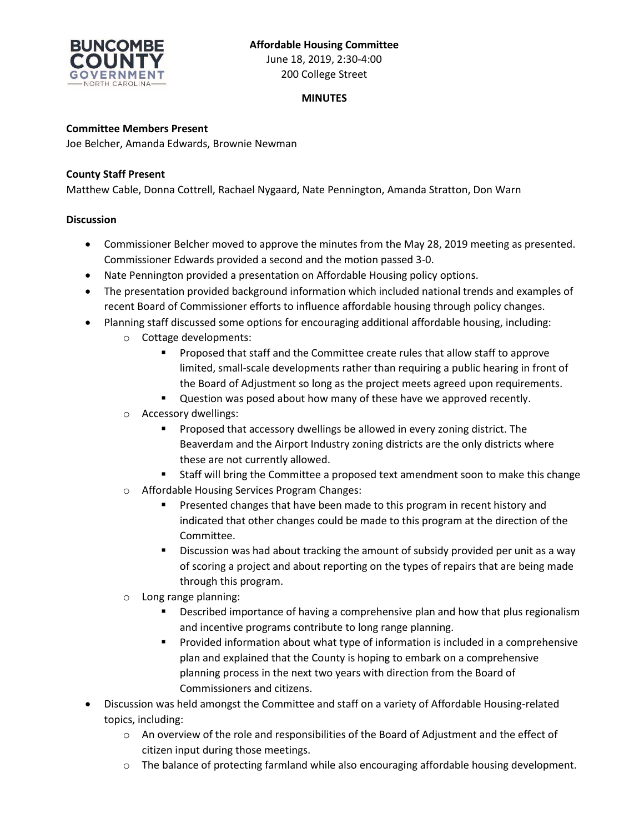

June 18, 2019, 2:30-4:00 200 College Street

# **MINUTES**

## **Committee Members Present**

Joe Belcher, Amanda Edwards, Brownie Newman

### **County Staff Present**

Matthew Cable, Donna Cottrell, Rachael Nygaard, Nate Pennington, Amanda Stratton, Don Warn

#### **Discussion**

- Commissioner Belcher moved to approve the minutes from the May 28, 2019 meeting as presented. Commissioner Edwards provided a second and the motion passed 3-0.
- Nate Pennington provided a presentation on Affordable Housing policy options.
- The presentation provided background information which included national trends and examples of recent Board of Commissioner efforts to influence affordable housing through policy changes.
- Planning staff discussed some options for encouraging additional affordable housing, including:
	- o Cottage developments:
		- **Proposed that staff and the Committee create rules that allow staff to approve** limited, small-scale developments rather than requiring a public hearing in front of the Board of Adjustment so long as the project meets agreed upon requirements.
		- **Question was posed about how many of these have we approved recently.**
	- o Accessory dwellings:
		- Proposed that accessory dwellings be allowed in every zoning district. The Beaverdam and the Airport Industry zoning districts are the only districts where these are not currently allowed.
		- Staff will bring the Committee a proposed text amendment soon to make this change
	- o Affordable Housing Services Program Changes:
		- Presented changes that have been made to this program in recent history and indicated that other changes could be made to this program at the direction of the Committee.
		- Discussion was had about tracking the amount of subsidy provided per unit as a way of scoring a project and about reporting on the types of repairs that are being made through this program.
	- o Long range planning:
		- **Described importance of having a comprehensive plan and how that plus regionalism** and incentive programs contribute to long range planning.
		- **Provided information about what type of information is included in a comprehensive** plan and explained that the County is hoping to embark on a comprehensive planning process in the next two years with direction from the Board of Commissioners and citizens.
- Discussion was held amongst the Committee and staff on a variety of Affordable Housing-related topics, including:
	- o An overview of the role and responsibilities of the Board of Adjustment and the effect of citizen input during those meetings.
	- $\circ$  The balance of protecting farmland while also encouraging affordable housing development.